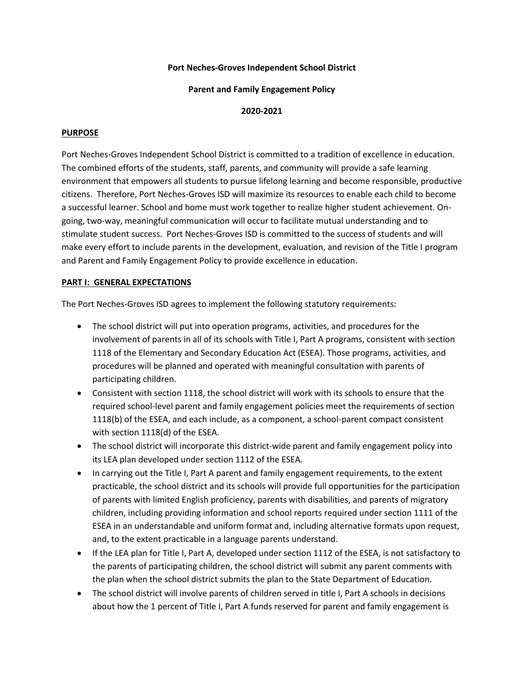## **Port Neches-Groves Independent School District**

### **Parent and Family Engagement Policy**

## **2020-2021**

## **PURPOSE**

Port Neches-Groves Independent School District is committed to a tradition of excellence in education. The combined efforts of the students, staff, parents, and community will provide a safe learning environment that empowers all students to pursue lifelong learning and become responsible, productive citizens. Therefore, Port Neches-Groves ISD will maximize its resources to enable each child to become a successful learner. School and home must work together to realize higher student achievement. Ongoing, two-way, meaningful communication will occur to facilitate mutual understanding and to stimulate student success. Port Neches-Groves ISD is committed to the success of students and will make every effort to include parents in the development, evaluation, and revision of the Title I program and Parent and Family Engagement Policy to provide excellence in education.

## **PART I: GENERAL EXPECTATIONS**

The Port Neches-Groves ISD agrees to implement the following statutory requirements:

- The school district will put into operation programs, activities, and procedures for the involvement of parents in all of its schools with Title I, Part A programs, consistent with section 1118 of the Elementary and Secondary Education Act (ESEA). Those programs, activities, and procedures will be planned and operated with meaningful consultation with parents of participating children.
- Consistent with section 1118, the school district will work with its schools to ensure that the required school-level parent and family engagement policies meet the requirements of section 1118(b) of the ESEA, and each include, as a component, a school-parent compact consistent with section 1118(d) of the ESEA.
- The school district will incorporate this district-wide parent and family engagement policy into its LEA plan developed under section 1112 of the ESEA.
- In carrying out the Title I, Part A parent and family engagement requirements, to the extent practicable, the school district and its schools will provide full opportunities for the participation of parents with limited English proficiency, parents with disabilities, and parents of migratory children, including providing information and school reports required under section 1111 of the ESEA in an understandable and uniform format and, including alternative formats upon request, and, to the extent practicable in a language parents understand.
- If the LEA plan for Title I, Part A, developed under section 1112 of the ESEA, is not satisfactory to the parents of participating children, the school district will submit any parent comments with the plan when the school district submits the plan to the State Department of Education.
- The school district will involve parents of children served in title I, Part A schools in decisions about how the 1 percent of Title I, Part A funds reserved for parent and family engagement is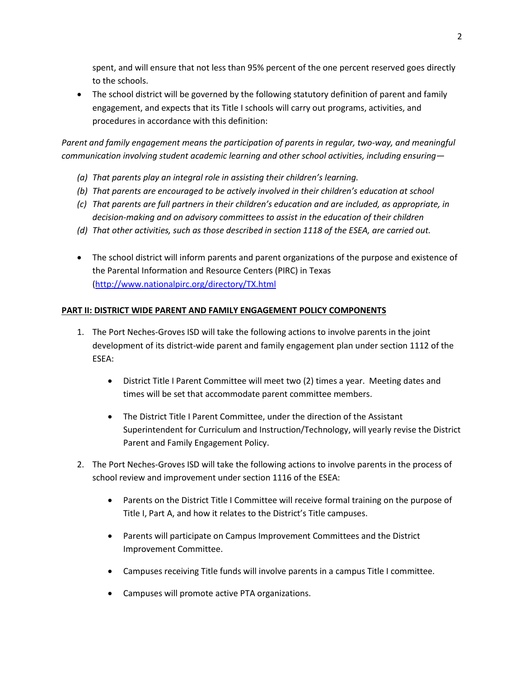spent, and will ensure that not less than 95% percent of the one percent reserved goes directly to the schools.

• The school district will be governed by the following statutory definition of parent and family engagement, and expects that its Title I schools will carry out programs, activities, and procedures in accordance with this definition:

*Parent and family engagement means the participation of parents in regular, two-way, and meaningful communication involving student academic learning and other school activities, including ensuring—*

- *(a) That parents play an integral role in assisting their children's learning.*
- *(b) That parents are encouraged to be actively involved in their children's education at school*
- *(c) That parents are full partners in their children's education and are included, as appropriate, in decision-making and on advisory committees to assist in the education of their children*
- *(d) That other activities, such as those described in section 1118 of the ESEA, are carried out.*
- The school district will inform parents and parent organizations of the purpose and existence of the Parental Information and Resource Centers (PIRC) in Texas [\(http://www.nationalpirc.org/directory/TX.html](http://www.nationalpirc.org/directory/TX.html)

## **PART II: DISTRICT WIDE PARENT AND FAMILY ENGAGEMENT POLICY COMPONENTS**

- 1. The Port Neches-Groves ISD will take the following actions to involve parents in the joint development of its district-wide parent and family engagement plan under section 1112 of the ESEA:
	- District Title I Parent Committee will meet two (2) times a year. Meeting dates and times will be set that accommodate parent committee members.
	- The District Title I Parent Committee, under the direction of the Assistant Superintendent for Curriculum and Instruction/Technology, will yearly revise the District Parent and Family Engagement Policy.
- 2. The Port Neches-Groves ISD will take the following actions to involve parents in the process of school review and improvement under section 1116 of the ESEA:
	- Parents on the District Title I Committee will receive formal training on the purpose of Title I, Part A, and how it relates to the District's Title campuses.
	- Parents will participate on Campus Improvement Committees and the District Improvement Committee.
	- Campuses receiving Title funds will involve parents in a campus Title I committee.
	- Campuses will promote active PTA organizations.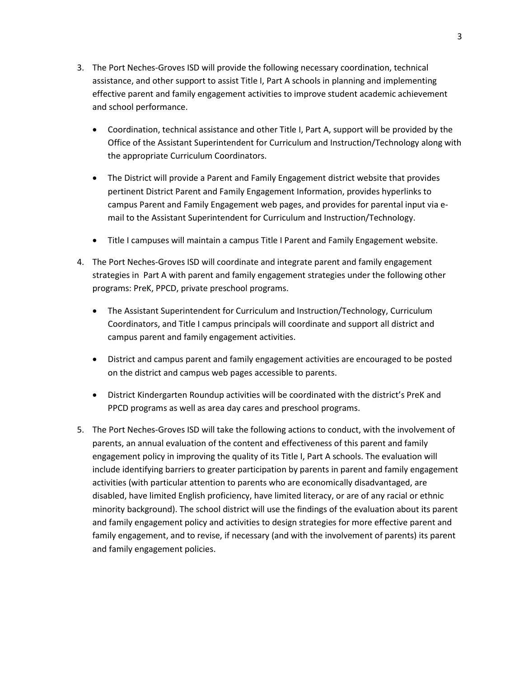- 3. The Port Neches-Groves ISD will provide the following necessary coordination, technical assistance, and other support to assist Title I, Part A schools in planning and implementing effective parent and family engagement activities to improve student academic achievement and school performance.
	- Coordination, technical assistance and other Title I, Part A, support will be provided by the Office of the Assistant Superintendent for Curriculum and Instruction/Technology along with the appropriate Curriculum Coordinators.
	- The District will provide a Parent and Family Engagement district website that provides pertinent District Parent and Family Engagement Information, provides hyperlinks to campus Parent and Family Engagement web pages, and provides for parental input via email to the Assistant Superintendent for Curriculum and Instruction/Technology.
	- Title I campuses will maintain a campus Title I Parent and Family Engagement website.
- 4. The Port Neches-Groves ISD will coordinate and integrate parent and family engagement strategies in Part A with parent and family engagement strategies under the following other programs: PreK, PPCD, private preschool programs.
	- The Assistant Superintendent for Curriculum and Instruction/Technology, Curriculum Coordinators, and Title I campus principals will coordinate and support all district and campus parent and family engagement activities.
	- District and campus parent and family engagement activities are encouraged to be posted on the district and campus web pages accessible to parents.
	- District Kindergarten Roundup activities will be coordinated with the district's PreK and PPCD programs as well as area day cares and preschool programs.
- 5. The Port Neches-Groves ISD will take the following actions to conduct, with the involvement of parents, an annual evaluation of the content and effectiveness of this parent and family engagement policy in improving the quality of its Title I, Part A schools. The evaluation will include identifying barriers to greater participation by parents in parent and family engagement activities (with particular attention to parents who are economically disadvantaged, are disabled, have limited English proficiency, have limited literacy, or are of any racial or ethnic minority background). The school district will use the findings of the evaluation about its parent and family engagement policy and activities to design strategies for more effective parent and family engagement, and to revise, if necessary (and with the involvement of parents) its parent and family engagement policies.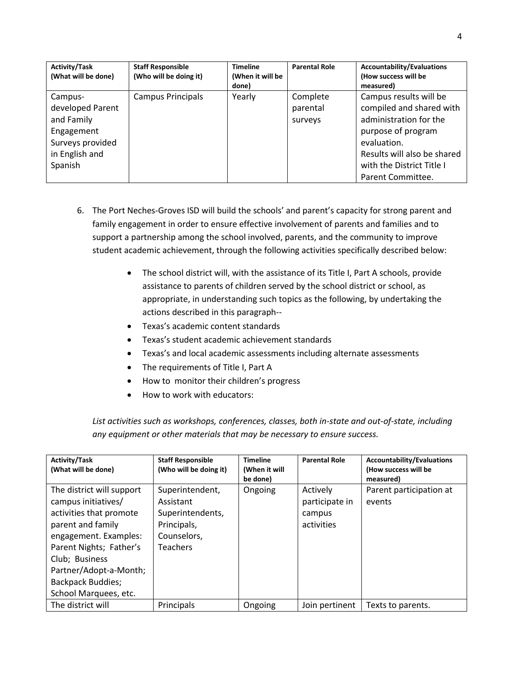| <b>Activity/Task</b><br>(What will be done)                                                              | <b>Staff Responsible</b><br>(Who will be doing it) | <b>Timeline</b><br>(When it will be<br>done) | <b>Parental Role</b>            | <b>Accountability/Evaluations</b><br>(How success will be<br>measured)                                                                                                                             |
|----------------------------------------------------------------------------------------------------------|----------------------------------------------------|----------------------------------------------|---------------------------------|----------------------------------------------------------------------------------------------------------------------------------------------------------------------------------------------------|
| Campus-<br>developed Parent<br>and Family<br>Engagement<br>Surveys provided<br>in English and<br>Spanish | Campus Principals                                  | Yearly                                       | Complete<br>parental<br>surveys | Campus results will be<br>compiled and shared with<br>administration for the<br>purpose of program<br>evaluation.<br>Results will also be shared<br>with the District Title I<br>Parent Committee. |

- 6. The Port Neches-Groves ISD will build the schools' and parent's capacity for strong parent and family engagement in order to ensure effective involvement of parents and families and to support a partnership among the school involved, parents, and the community to improve student academic achievement, through the following activities specifically described below:
	- The school district will, with the assistance of its Title I, Part A schools, provide assistance to parents of children served by the school district or school, as appropriate, in understanding such topics as the following, by undertaking the actions described in this paragraph--
	- Texas's academic content standards
	- Texas's student academic achievement standards
	- Texas's and local academic assessments including alternate assessments
	- The requirements of Title I, Part A
	- How to monitor their children's progress
	- How to work with educators:

*List activities such as workshops, conferences, classes, both in-state and out-of-state, including any equipment or other materials that may be necessary to ensure success.* 

| <b>Activity/Task</b><br>(What will be done)                                                                                                                                                                                                           | <b>Staff Responsible</b><br>(Who will be doing it)                                                | <b>Timeline</b><br>(When it will<br>be done) | <b>Parental Role</b>                               | <b>Accountability/Evaluations</b><br>(How success will be<br>measured) |
|-------------------------------------------------------------------------------------------------------------------------------------------------------------------------------------------------------------------------------------------------------|---------------------------------------------------------------------------------------------------|----------------------------------------------|----------------------------------------------------|------------------------------------------------------------------------|
| The district will support<br>campus initiatives/<br>activities that promote<br>parent and family<br>engagement. Examples:<br>Parent Nights; Father's<br>Club; Business<br>Partner/Adopt-a-Month;<br><b>Backpack Buddies;</b><br>School Marquees, etc. | Superintendent,<br>Assistant<br>Superintendents,<br>Principals,<br>Counselors,<br><b>Teachers</b> | Ongoing                                      | Actively<br>participate in<br>campus<br>activities | Parent participation at<br>events                                      |
| The district will                                                                                                                                                                                                                                     | Principals                                                                                        | Ongoing                                      | Join pertinent                                     | Texts to parents.                                                      |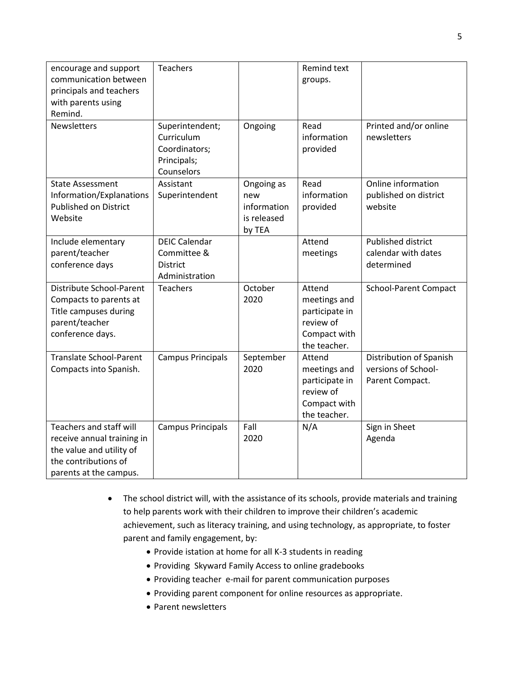| encourage and support<br>communication between<br>principals and teachers<br>with parents using<br>Remind.                          | <b>Teachers</b>                                                             |                                                           | Remind text<br>groups.                                                                |                                                                   |
|-------------------------------------------------------------------------------------------------------------------------------------|-----------------------------------------------------------------------------|-----------------------------------------------------------|---------------------------------------------------------------------------------------|-------------------------------------------------------------------|
| <b>Newsletters</b>                                                                                                                  | Superintendent;<br>Curriculum<br>Coordinators;<br>Principals;<br>Counselors | Ongoing                                                   | Read<br>information<br>provided                                                       | Printed and/or online<br>newsletters                              |
| <b>State Assessment</b><br>Information/Explanations<br><b>Published on District</b><br>Website                                      | Assistant<br>Superintendent                                                 | Ongoing as<br>new<br>information<br>is released<br>by TEA | Read<br>information<br>provided                                                       | Online information<br>published on district<br>website            |
| Include elementary<br>parent/teacher<br>conference days                                                                             | <b>DEIC Calendar</b><br>Committee &<br><b>District</b><br>Administration    |                                                           | Attend<br>meetings                                                                    | <b>Published district</b><br>calendar with dates<br>determined    |
| Distribute School-Parent<br>Compacts to parents at<br>Title campuses during<br>parent/teacher<br>conference days.                   | <b>Teachers</b>                                                             | October<br>2020                                           | Attend<br>meetings and<br>participate in<br>review of<br>Compact with<br>the teacher. | <b>School-Parent Compact</b>                                      |
| <b>Translate School-Parent</b><br>Compacts into Spanish.                                                                            | <b>Campus Principals</b>                                                    | September<br>2020                                         | Attend<br>meetings and<br>participate in<br>review of<br>Compact with<br>the teacher. | Distribution of Spanish<br>versions of School-<br>Parent Compact. |
| Teachers and staff will<br>receive annual training in<br>the value and utility of<br>the contributions of<br>parents at the campus. | <b>Campus Principals</b>                                                    | Fall<br>2020                                              | N/A                                                                                   | Sign in Sheet<br>Agenda                                           |

- The school district will, with the assistance of its schools, provide materials and training to help parents work with their children to improve their children's academic achievement, such as literacy training, and using technology, as appropriate, to foster parent and family engagement, by:
	- Provide istation at home for all K-3 students in reading
	- Providing Skyward Family Access to online gradebooks
	- Providing teacher e-mail for parent communication purposes
	- Providing parent component for online resources as appropriate.
	- Parent newsletters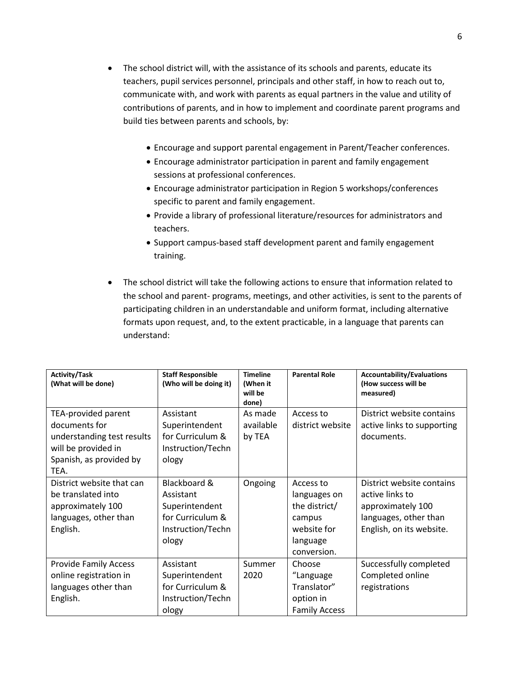- The school district will, with the assistance of its schools and parents, educate its teachers, pupil services personnel, principals and other staff, in how to reach out to, communicate with, and work with parents as equal partners in the value and utility of contributions of parents, and in how to implement and coordinate parent programs and build ties between parents and schools, by:
	- Encourage and support parental engagement in Parent/Teacher conferences.
	- Encourage administrator participation in parent and family engagement sessions at professional conferences.
	- Encourage administrator participation in Region 5 workshops/conferences specific to parent and family engagement.
	- Provide a library of professional literature/resources for administrators and teachers.
	- Support campus-based staff development parent and family engagement training.
- The school district will take the following actions to ensure that information related to the school and parent- programs, meetings, and other activities, is sent to the parents of participating children in an understandable and uniform format, including alternative formats upon request, and, to the extent practicable, in a language that parents can understand:

| <b>Activity/Task</b><br>(What will be done)                                                                                  | <b>Staff Responsible</b><br>(Who will be doing it)                                            | <b>Timeline</b><br>(When it<br>will be<br>done) | <b>Parental Role</b>                                                                           | <b>Accountability/Evaluations</b><br>(How success will be<br>measured)                                                 |
|------------------------------------------------------------------------------------------------------------------------------|-----------------------------------------------------------------------------------------------|-------------------------------------------------|------------------------------------------------------------------------------------------------|------------------------------------------------------------------------------------------------------------------------|
| TEA-provided parent<br>documents for<br>understanding test results<br>will be provided in<br>Spanish, as provided by<br>TEA. | Assistant<br>Superintendent<br>for Curriculum &<br>Instruction/Techn<br>ology                 | As made<br>available<br>by TEA                  | Access to<br>district website                                                                  | District website contains<br>active links to supporting<br>documents.                                                  |
| District website that can<br>be translated into<br>approximately 100<br>languages, other than<br>English.                    | Blackboard &<br>Assistant<br>Superintendent<br>for Curriculum &<br>Instruction/Techn<br>ology | Ongoing                                         | Access to<br>languages on<br>the district/<br>campus<br>website for<br>language<br>conversion. | District website contains<br>active links to<br>approximately 100<br>languages, other than<br>English, on its website. |
| <b>Provide Family Access</b><br>online registration in<br>languages other than<br>English.                                   | Assistant<br>Superintendent<br>for Curriculum &<br>Instruction/Techn<br>ology                 | Summer<br>2020                                  | Choose<br>"Language<br>Translator"<br>option in<br><b>Family Access</b>                        | Successfully completed<br>Completed online<br>registrations                                                            |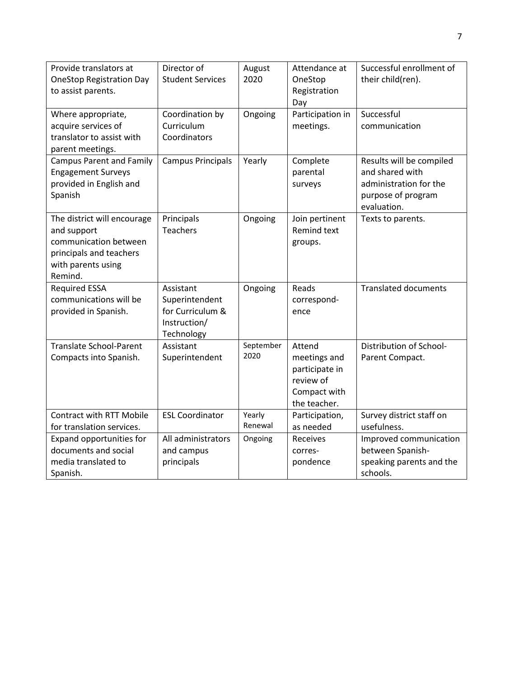| Provide translators at                                | Director of<br><b>Student Services</b> | August<br>2020 | Attendance at           | Successful enrollment of<br>their child(ren). |
|-------------------------------------------------------|----------------------------------------|----------------|-------------------------|-----------------------------------------------|
| <b>OneStop Registration Day</b><br>to assist parents. |                                        |                | OneStop<br>Registration |                                               |
|                                                       |                                        |                | Day                     |                                               |
| Where appropriate,                                    | Coordination by                        | Ongoing        | Participation in        | Successful                                    |
| acquire services of                                   | Curriculum                             |                | meetings.               | communication                                 |
| translator to assist with                             | Coordinators                           |                |                         |                                               |
| parent meetings.                                      |                                        |                |                         |                                               |
| <b>Campus Parent and Family</b>                       | <b>Campus Principals</b>               | Yearly         | Complete                | Results will be compiled                      |
| <b>Engagement Surveys</b>                             |                                        |                | parental                | and shared with                               |
| provided in English and                               |                                        |                | surveys                 | administration for the                        |
| Spanish                                               |                                        |                |                         | purpose of program<br>evaluation.             |
|                                                       | Principals                             |                | Join pertinent          | Texts to parents.                             |
| The district will encourage<br>and support            | <b>Teachers</b>                        | Ongoing        | <b>Remind text</b>      |                                               |
| communication between                                 |                                        |                | groups.                 |                                               |
| principals and teachers                               |                                        |                |                         |                                               |
| with parents using                                    |                                        |                |                         |                                               |
| Remind.                                               |                                        |                |                         |                                               |
| <b>Required ESSA</b>                                  | Assistant                              | Ongoing        | Reads                   | <b>Translated documents</b>                   |
| communications will be                                | Superintendent                         |                | correspond-             |                                               |
| provided in Spanish.                                  | for Curriculum &                       |                | ence                    |                                               |
|                                                       | Instruction/                           |                |                         |                                               |
|                                                       | Technology                             |                |                         |                                               |
| <b>Translate School-Parent</b>                        | Assistant                              | September      | Attend                  | Distribution of School-                       |
| Compacts into Spanish.                                | Superintendent                         | 2020           | meetings and            | Parent Compact.                               |
|                                                       |                                        |                | participate in          |                                               |
|                                                       |                                        |                | review of               |                                               |
|                                                       |                                        |                | Compact with            |                                               |
|                                                       |                                        |                | the teacher.            |                                               |
| <b>Contract with RTT Mobile</b>                       | <b>ESL Coordinator</b>                 | Yearly         | Participation,          | Survey district staff on                      |
| for translation services.                             |                                        | Renewal        | as needed               | usefulness.                                   |
| Expand opportunities for                              | All administrators                     | Ongoing        | Receives                | Improved communication                        |
| documents and social                                  | and campus                             |                | corres-                 | between Spanish-                              |
| media translated to                                   | principals                             |                | pondence                | speaking parents and the                      |
| Spanish.                                              |                                        |                |                         | schools.                                      |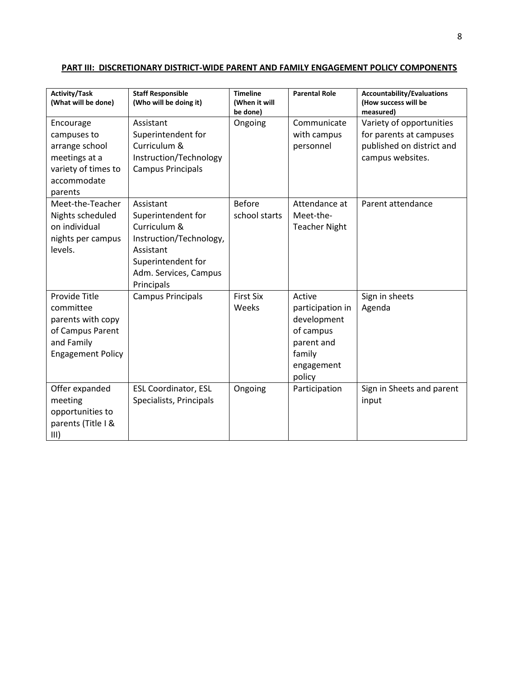| Activity/Task<br>(What will be done)                                                                          | <b>Staff Responsible</b><br>(Who will be doing it)                                                                                                   | <b>Timeline</b><br>(When it will<br>be done) | <b>Parental Role</b>                                                                                   | <b>Accountability/Evaluations</b><br>(How success will be<br>measured)                               |
|---------------------------------------------------------------------------------------------------------------|------------------------------------------------------------------------------------------------------------------------------------------------------|----------------------------------------------|--------------------------------------------------------------------------------------------------------|------------------------------------------------------------------------------------------------------|
| Encourage<br>campuses to<br>arrange school<br>meetings at a<br>variety of times to<br>accommodate<br>parents  | Assistant<br>Superintendent for<br>Curriculum &<br>Instruction/Technology<br><b>Campus Principals</b>                                                | Ongoing                                      | Communicate<br>with campus<br>personnel                                                                | Variety of opportunities<br>for parents at campuses<br>published on district and<br>campus websites. |
| Meet-the-Teacher<br>Nights scheduled<br>on individual<br>nights per campus<br>levels.                         | Assistant<br>Superintendent for<br>Curriculum &<br>Instruction/Technology,<br>Assistant<br>Superintendent for<br>Adm. Services, Campus<br>Principals | <b>Before</b><br>school starts               | Attendance at<br>Meet-the-<br><b>Teacher Night</b>                                                     | Parent attendance                                                                                    |
| Provide Title<br>committee<br>parents with copy<br>of Campus Parent<br>and Family<br><b>Engagement Policy</b> | <b>Campus Principals</b>                                                                                                                             | <b>First Six</b><br>Weeks                    | Active<br>participation in<br>development<br>of campus<br>parent and<br>family<br>engagement<br>policy | Sign in sheets<br>Agenda                                                                             |
| Offer expanded<br>meeting<br>opportunities to<br>parents (Title I &<br>III)                                   | <b>ESL Coordinator, ESL</b><br>Specialists, Principals                                                                                               | Ongoing                                      | Participation                                                                                          | Sign in Sheets and parent<br>input                                                                   |

# **PART III: DISCRETIONARY DISTRICT-WIDE PARENT AND FAMILY ENGAGEMENT POLICY COMPONENTS**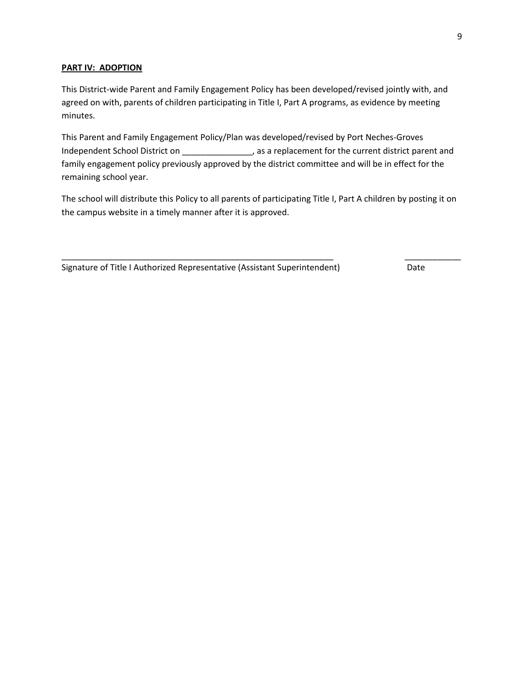## **PART IV: ADOPTION**

This District-wide Parent and Family Engagement Policy has been developed/revised jointly with, and agreed on with, parents of children participating in Title I, Part A programs, as evidence by meeting minutes.

This Parent and Family Engagement Policy/Plan was developed/revised by Port Neches-Groves Independent School District on \_\_\_\_\_\_\_\_\_\_\_\_\_\_\_, as a replacement for the current district parent and family engagement policy previously approved by the district committee and will be in effect for the remaining school year.

The school will distribute this Policy to all parents of participating Title I, Part A children by posting it on the campus website in a timely manner after it is approved.

\_\_\_\_\_\_\_\_\_\_\_\_\_\_\_\_\_\_\_\_\_\_\_\_\_\_\_\_\_\_\_\_\_\_\_\_\_\_\_\_\_\_\_\_\_\_\_\_\_\_\_\_\_\_\_\_\_\_ \_\_\_\_\_\_\_\_\_\_\_\_

Signature of Title I Authorized Representative (Assistant Superintendent) Date